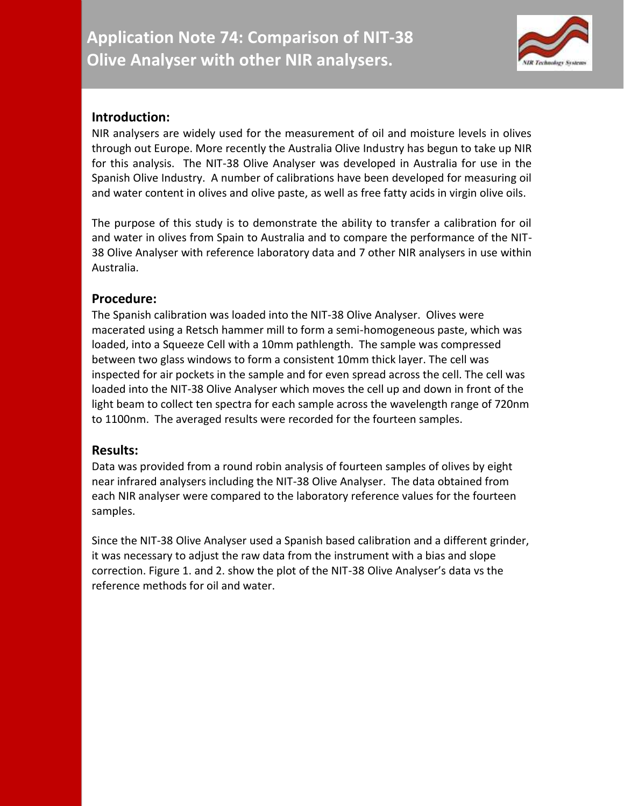

## **Introduction:**

NIR analysers are widely used for the measurement of oil and moisture levels in olives through out Europe. More recently the Australia Olive Industry has begun to take up NIR for this analysis. The NIT-38 Olive Analyser was developed in Australia for use in the Spanish Olive Industry. A number of calibrations have been developed for measuring oil and water content in olives and olive paste, as well as free fatty acids in virgin olive oils.

The purpose of this study is to demonstrate the ability to transfer a calibration for oil and water in olives from Spain to Australia and to compare the performance of the NIT-38 Olive Analyser with reference laboratory data and 7 other NIR analysers in use within Australia.

## **Procedure:**

The Spanish calibration was loaded into the NIT-38 Olive Analyser. Olives were macerated using a Retsch hammer mill to form a semi-homogeneous paste, which was loaded, into a Squeeze Cell with a 10mm pathlength. The sample was compressed between two glass windows to form a consistent 10mm thick layer. The cell was inspected for air pockets in the sample and for even spread across the cell. The cell was loaded into the NIT-38 Olive Analyser which moves the cell up and down in front of the light beam to collect ten spectra for each sample across the wavelength range of 720nm to 1100nm. The averaged results were recorded for the fourteen samples.

### **Results:**

Data was provided from a round robin analysis of fourteen samples of olives by eight near infrared analysers including the NIT-38 Olive Analyser. The data obtained from each NIR analyser were compared to the laboratory reference values for the fourteen samples.

Since the NIT-38 Olive Analyser used a Spanish based calibration and a different grinder, it was necessary to adjust the raw data from the instrument with a bias and slope correction. Figure 1. and 2. show the plot of the NIT-38 Olive Analyser's data vs the reference methods for oil and water.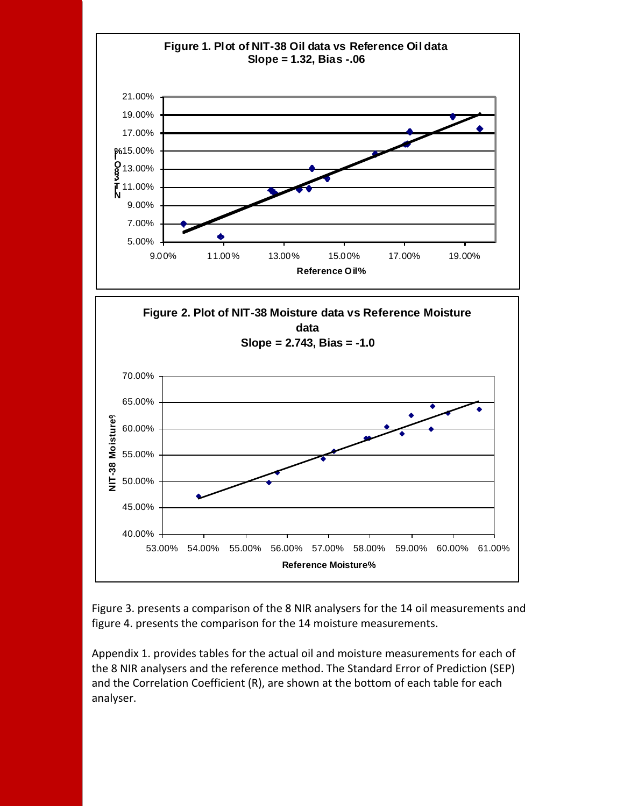

Figure 3. presents a comparison of the 8 NIR analysers for the 14 oil measurements and figure 4. presents the comparison for the 14 moisture measurements.

Appendix 1. provides tables for the actual oil and moisture measurements for each of the 8 NIR analysers and the reference method. The Standard Error of Prediction (SEP) and the Correlation Coefficient (R), are shown at the bottom of each table for each analyser.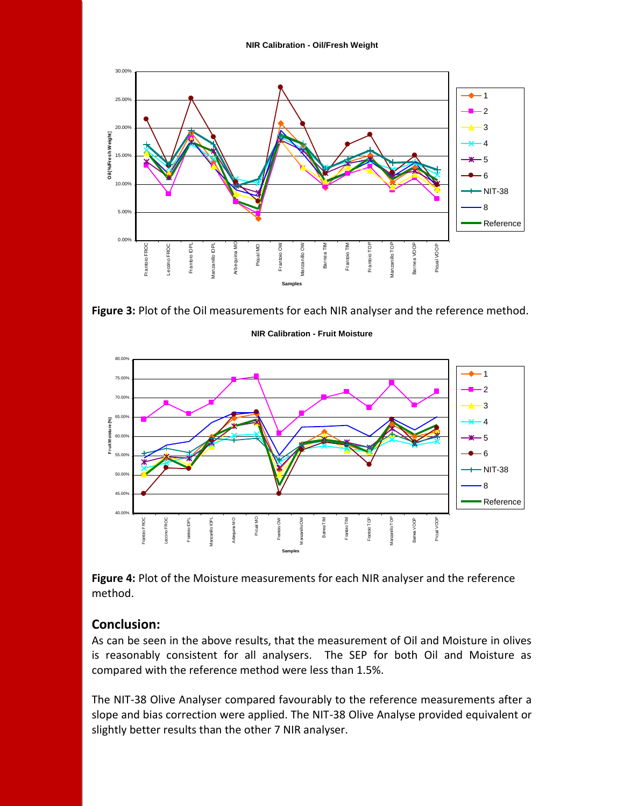

**Figure 3:** Plot of the Oil measurements for each NIR analyser and the reference method.



**NIR Calibration - Fruit Moisture**

**Figure 4:** Plot of the Moisture measurements for each NIR analyser and the reference method.

### **Conclusion:**

As can be seen in the above results, that the measurement of Oil and Moisture in olives is reasonably consistent for all analysers. The SEP for both Oil and Moisture as compared with the reference method were less than 1.5%.

The NIT-38 Olive Analyser compared favourably to the reference measurements after a slope and bias correction were applied. The NIT-38 Olive Analyse provided equivalent or slightly better results than the other 7 NIR analyser.